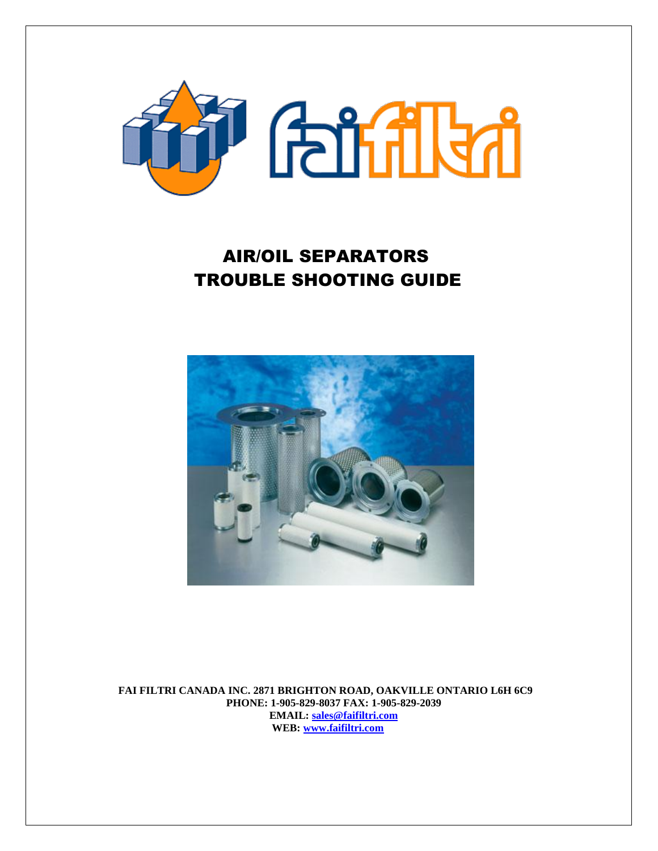

# AIR/OIL SEPARATORS TROUBLE SHOOTING GUIDE



 **FAI FILTRI CANADA INC. 2871 BRIGHTON ROAD, OAKVILLE ONTARIO L6H 6C9 PHONE: 1-905-829-8037 FAX: 1-905-829-2039 EMAIL: [sales@faifiltri.com](mailto:sales@faifiltri.com) WEB: [www.faifiltri.com](http://www.faifiltri.com/)**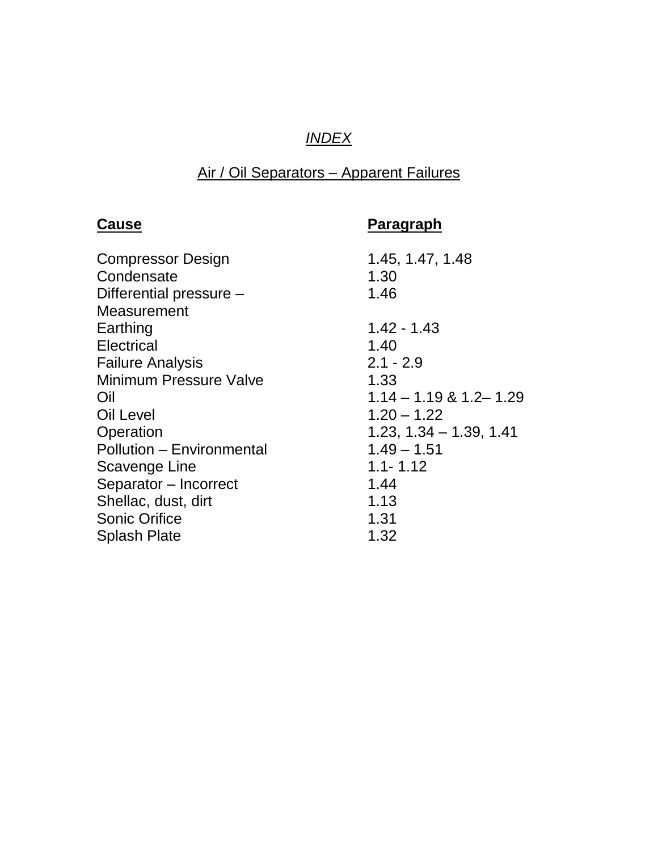# *INDEX*

# Air / Oil Separators – Apparent Failures

# **Cause Paragraph**  Compressor Design 1.45, 1.47, 1.48 Condensate 1.30 Differential pressure – 1.46 **Measurement** Earthing 1.42 - 1.43 Electrical 1.40 Failure Analysis 2.1 - 2.9 Minimum Pressure Valve 1.33 Oil 1.14 – 1.19 & 1.2– 1.29 Oil Level 2.20 – 1.22 Operation 1.23, 1.34 – 1.39, 1.41 Pollution – Environmental 1.49 – 1.51 Scavenge Line 1.1- 1.12 Separator – Incorrect 1.44 Shellac, dust, dirt 1.13 Sonic Orifice 1.31 Splash Plate 1.32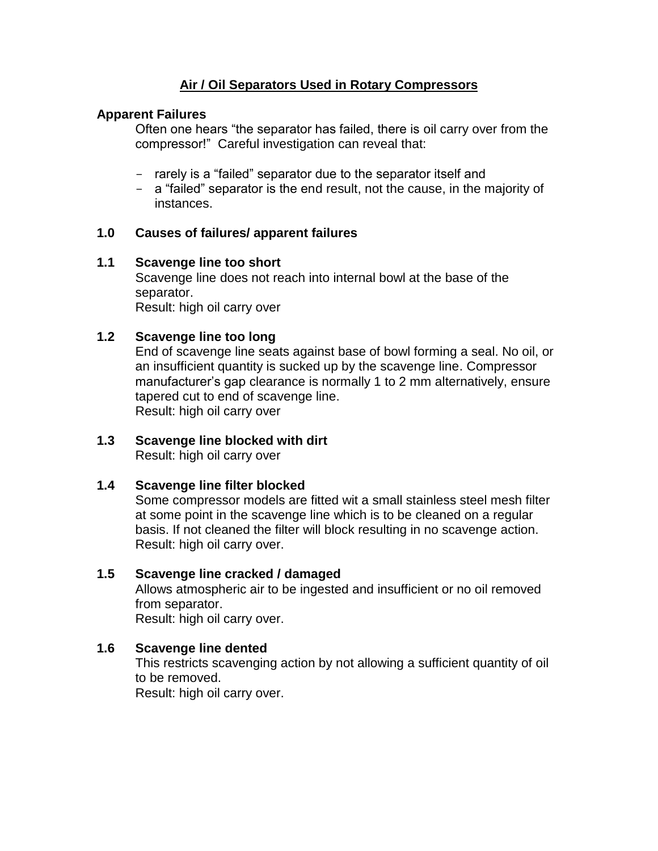# **Air / Oil Separators Used in Rotary Compressors**

# **Apparent Failures**

Often one hears "the separator has failed, there is oil carry over from the compressor!" Careful investigation can reveal that:

- rarely is a "failed" separator due to the separator itself and
- a "failed" separator is the end result, not the cause, in the majority of instances.

#### **1.0 Causes of failures/ apparent failures**

#### **1.1 Scavenge line too short**

Scavenge line does not reach into internal bowl at the base of the separator. Result: high oil carry over

#### **1.2 Scavenge line too long**

End of scavenge line seats against base of bowl forming a seal. No oil, or an insufficient quantity is sucked up by the scavenge line. Compressor manufacturer's gap clearance is normally 1 to 2 mm alternatively, ensure tapered cut to end of scavenge line. Result: high oil carry over

#### **1.3 Scavenge line blocked with dirt** Result: high oil carry over

#### **1.4 Scavenge line filter blocked**

Some compressor models are fitted wit a small stainless steel mesh filter at some point in the scavenge line which is to be cleaned on a regular basis. If not cleaned the filter will block resulting in no scavenge action. Result: high oil carry over.

#### **1.5 Scavenge line cracked / damaged**

Allows atmospheric air to be ingested and insufficient or no oil removed from separator.

Result: high oil carry over.

# **1.6 Scavenge line dented**

This restricts scavenging action by not allowing a sufficient quantity of oil to be removed. Result: high oil carry over.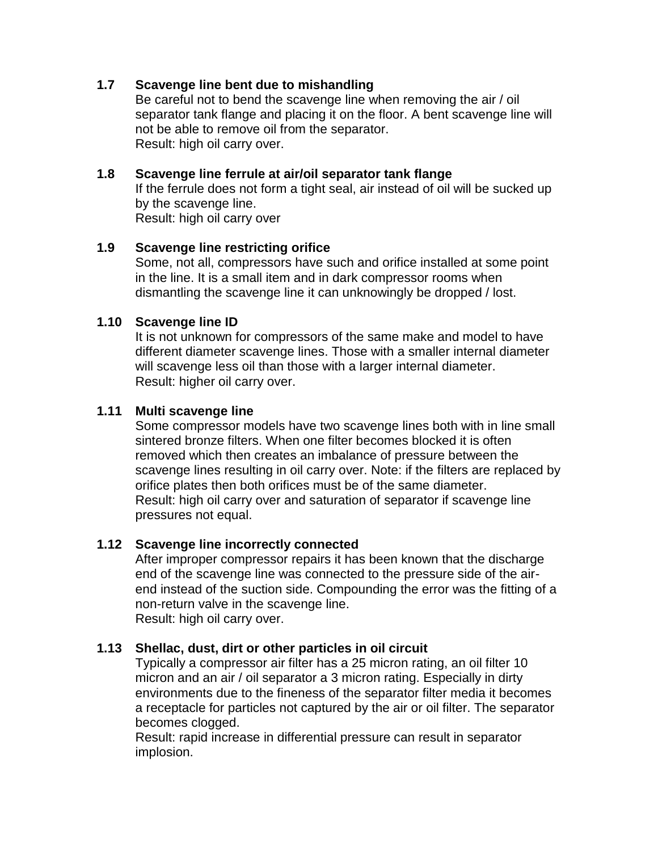#### **1.7 Scavenge line bent due to mishandling**

Be careful not to bend the scavenge line when removing the air / oil separator tank flange and placing it on the floor. A bent scavenge line will not be able to remove oil from the separator. Result: high oil carry over.

#### **1.8 Scavenge line ferrule at air/oil separator tank flange**

If the ferrule does not form a tight seal, air instead of oil will be sucked up by the scavenge line.

Result: high oil carry over

#### **1.9 Scavenge line restricting orifice**

Some, not all, compressors have such and orifice installed at some point in the line. It is a small item and in dark compressor rooms when dismantling the scavenge line it can unknowingly be dropped / lost.

#### **1.10 Scavenge line ID**

It is not unknown for compressors of the same make and model to have different diameter scavenge lines. Those with a smaller internal diameter will scavenge less oil than those with a larger internal diameter. Result: higher oil carry over.

#### **1.11 Multi scavenge line**

Some compressor models have two scavenge lines both with in line small sintered bronze filters. When one filter becomes blocked it is often removed which then creates an imbalance of pressure between the scavenge lines resulting in oil carry over. Note: if the filters are replaced by orifice plates then both orifices must be of the same diameter. Result: high oil carry over and saturation of separator if scavenge line pressures not equal.

# **1.12 Scavenge line incorrectly connected**

After improper compressor repairs it has been known that the discharge end of the scavenge line was connected to the pressure side of the airend instead of the suction side. Compounding the error was the fitting of a non-return valve in the scavenge line. Result: high oil carry over.

#### **1.13 Shellac, dust, dirt or other particles in oil circuit**

Typically a compressor air filter has a 25 micron rating, an oil filter 10 micron and an air / oil separator a 3 micron rating. Especially in dirty environments due to the fineness of the separator filter media it becomes a receptacle for particles not captured by the air or oil filter. The separator becomes clogged.

Result: rapid increase in differential pressure can result in separator implosion.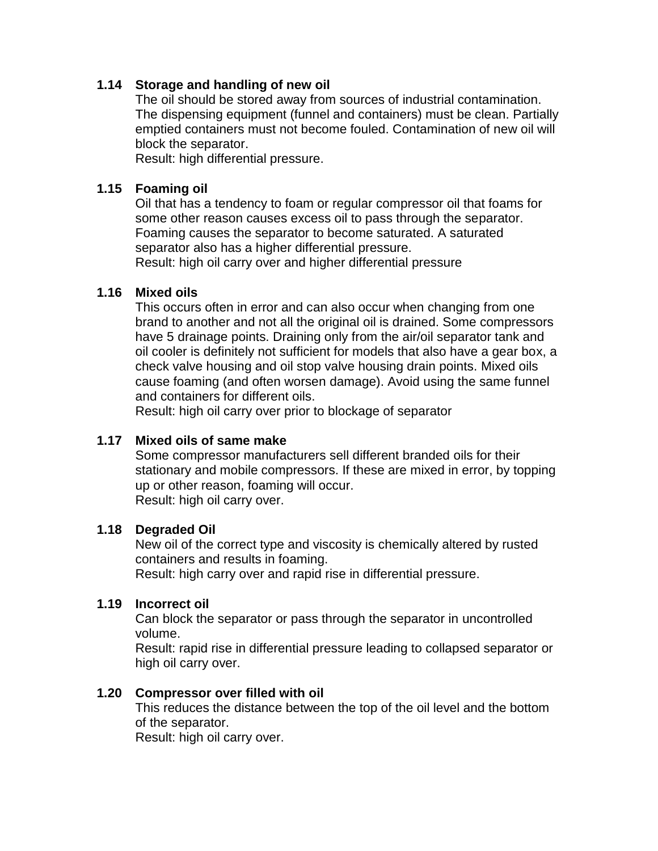#### **1.14 Storage and handling of new oil**

The oil should be stored away from sources of industrial contamination. The dispensing equipment (funnel and containers) must be clean. Partially emptied containers must not become fouled. Contamination of new oil will block the separator.

Result: high differential pressure.

#### **1.15 Foaming oil**

Oil that has a tendency to foam or regular compressor oil that foams for some other reason causes excess oil to pass through the separator. Foaming causes the separator to become saturated. A saturated separator also has a higher differential pressure.

Result: high oil carry over and higher differential pressure

#### **1.16 Mixed oils**

This occurs often in error and can also occur when changing from one brand to another and not all the original oil is drained. Some compressors have 5 drainage points. Draining only from the air/oil separator tank and oil cooler is definitely not sufficient for models that also have a gear box, a check valve housing and oil stop valve housing drain points. Mixed oils cause foaming (and often worsen damage). Avoid using the same funnel and containers for different oils.

Result: high oil carry over prior to blockage of separator

#### **1.17 Mixed oils of same make**

Some compressor manufacturers sell different branded oils for their stationary and mobile compressors. If these are mixed in error, by topping up or other reason, foaming will occur. Result: high oil carry over.

#### **1.18 Degraded Oil**

New oil of the correct type and viscosity is chemically altered by rusted containers and results in foaming.

Result: high carry over and rapid rise in differential pressure.

#### **1.19 Incorrect oil**

Can block the separator or pass through the separator in uncontrolled volume.

Result: rapid rise in differential pressure leading to collapsed separator or high oil carry over.

#### **1.20 Compressor over filled with oil**

This reduces the distance between the top of the oil level and the bottom of the separator.

Result: high oil carry over.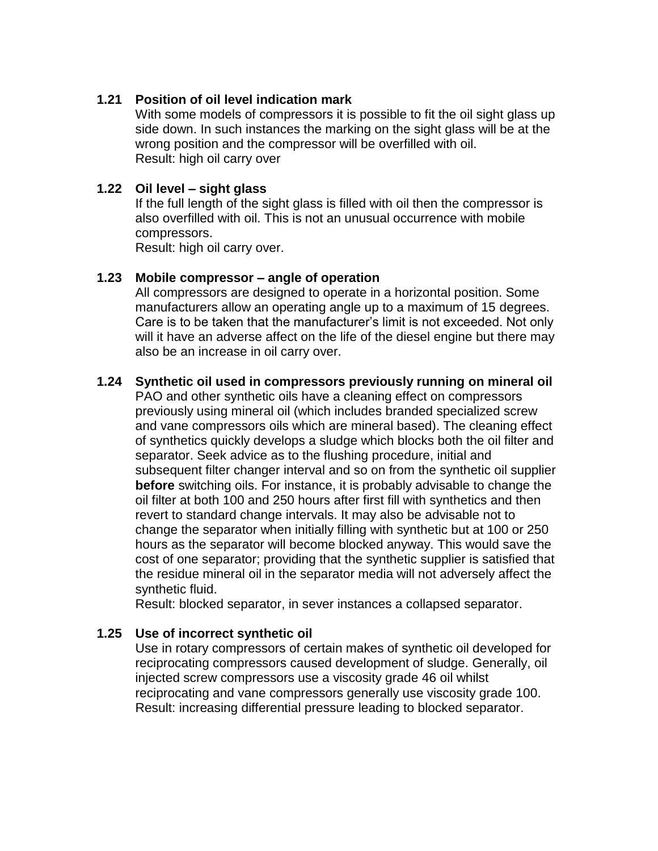#### **1.21 Position of oil level indication mark**

With some models of compressors it is possible to fit the oil sight glass up side down. In such instances the marking on the sight glass will be at the wrong position and the compressor will be overfilled with oil. Result: high oil carry over

#### **1.22 Oil level – sight glass**

If the full length of the sight glass is filled with oil then the compressor is also overfilled with oil. This is not an unusual occurrence with mobile compressors.

Result: high oil carry over.

#### **1.23 Mobile compressor – angle of operation**

All compressors are designed to operate in a horizontal position. Some manufacturers allow an operating angle up to a maximum of 15 degrees. Care is to be taken that the manufacturer's limit is not exceeded. Not only will it have an adverse affect on the life of the diesel engine but there may also be an increase in oil carry over.

#### **1.24 Synthetic oil used in compressors previously running on mineral oil**

PAO and other synthetic oils have a cleaning effect on compressors previously using mineral oil (which includes branded specialized screw and vane compressors oils which are mineral based). The cleaning effect of synthetics quickly develops a sludge which blocks both the oil filter and separator. Seek advice as to the flushing procedure, initial and subsequent filter changer interval and so on from the synthetic oil supplier **before** switching oils. For instance, it is probably advisable to change the oil filter at both 100 and 250 hours after first fill with synthetics and then revert to standard change intervals. It may also be advisable not to change the separator when initially filling with synthetic but at 100 or 250 hours as the separator will become blocked anyway. This would save the cost of one separator; providing that the synthetic supplier is satisfied that the residue mineral oil in the separator media will not adversely affect the synthetic fluid.

Result: blocked separator, in sever instances a collapsed separator.

#### **1.25 Use of incorrect synthetic oil**

Use in rotary compressors of certain makes of synthetic oil developed for reciprocating compressors caused development of sludge. Generally, oil injected screw compressors use a viscosity grade 46 oil whilst reciprocating and vane compressors generally use viscosity grade 100. Result: increasing differential pressure leading to blocked separator.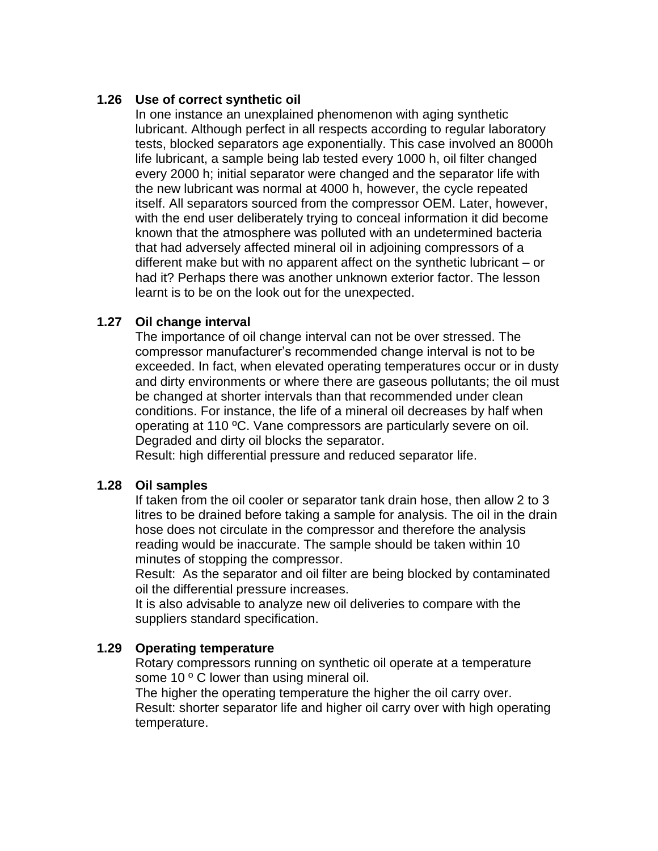#### **1.26 Use of correct synthetic oil**

In one instance an unexplained phenomenon with aging synthetic lubricant. Although perfect in all respects according to regular laboratory tests, blocked separators age exponentially. This case involved an 8000h life lubricant, a sample being lab tested every 1000 h, oil filter changed every 2000 h; initial separator were changed and the separator life with the new lubricant was normal at 4000 h, however, the cycle repeated itself. All separators sourced from the compressor OEM. Later, however, with the end user deliberately trying to conceal information it did become known that the atmosphere was polluted with an undetermined bacteria that had adversely affected mineral oil in adjoining compressors of a different make but with no apparent affect on the synthetic lubricant – or had it? Perhaps there was another unknown exterior factor. The lesson learnt is to be on the look out for the unexpected.

#### **1.27 Oil change interval**

The importance of oil change interval can not be over stressed. The compressor manufacturer's recommended change interval is not to be exceeded. In fact, when elevated operating temperatures occur or in dusty and dirty environments or where there are gaseous pollutants; the oil must be changed at shorter intervals than that recommended under clean conditions. For instance, the life of a mineral oil decreases by half when operating at 110 ºC. Vane compressors are particularly severe on oil. Degraded and dirty oil blocks the separator.

Result: high differential pressure and reduced separator life.

#### **1.28 Oil samples**

If taken from the oil cooler or separator tank drain hose, then allow 2 to 3 litres to be drained before taking a sample for analysis. The oil in the drain hose does not circulate in the compressor and therefore the analysis reading would be inaccurate. The sample should be taken within 10 minutes of stopping the compressor.

Result: As the separator and oil filter are being blocked by contaminated oil the differential pressure increases.

It is also advisable to analyze new oil deliveries to compare with the suppliers standard specification.

#### **1.29 Operating temperature**

Rotary compressors running on synthetic oil operate at a temperature some 10 ° C lower than using mineral oil.

The higher the operating temperature the higher the oil carry over. Result: shorter separator life and higher oil carry over with high operating temperature.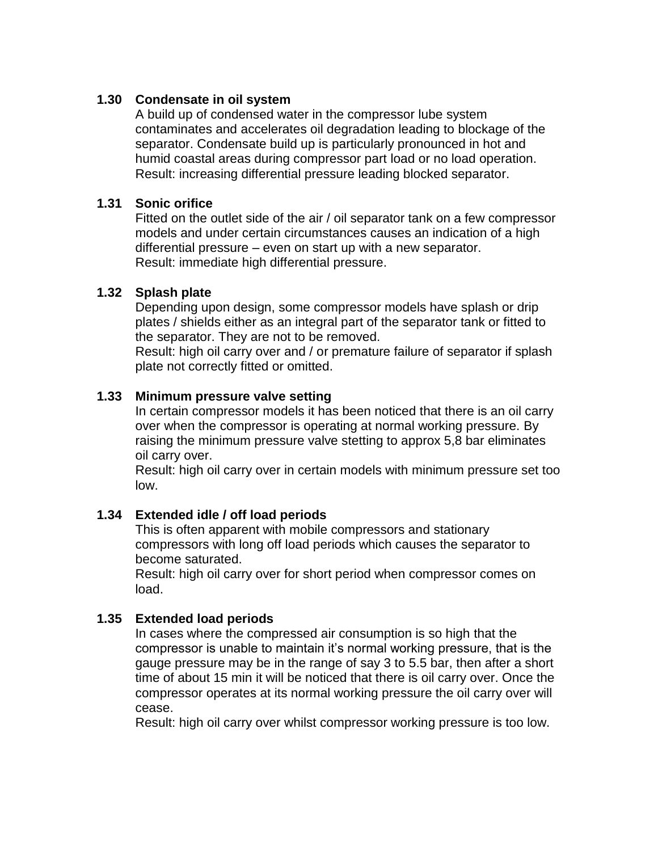#### **1.30 Condensate in oil system**

A build up of condensed water in the compressor lube system contaminates and accelerates oil degradation leading to blockage of the separator. Condensate build up is particularly pronounced in hot and humid coastal areas during compressor part load or no load operation. Result: increasing differential pressure leading blocked separator.

#### **1.31 Sonic orifice**

Fitted on the outlet side of the air / oil separator tank on a few compressor models and under certain circumstances causes an indication of a high differential pressure – even on start up with a new separator. Result: immediate high differential pressure.

#### **1.32 Splash plate**

Depending upon design, some compressor models have splash or drip plates / shields either as an integral part of the separator tank or fitted to the separator. They are not to be removed.

Result: high oil carry over and / or premature failure of separator if splash plate not correctly fitted or omitted.

#### **1.33 Minimum pressure valve setting**

In certain compressor models it has been noticed that there is an oil carry over when the compressor is operating at normal working pressure. By raising the minimum pressure valve stetting to approx 5,8 bar eliminates oil carry over.

Result: high oil carry over in certain models with minimum pressure set too low.

#### **1.34 Extended idle / off load periods**

This is often apparent with mobile compressors and stationary compressors with long off load periods which causes the separator to become saturated.

Result: high oil carry over for short period when compressor comes on load.

#### **1.35 Extended load periods**

In cases where the compressed air consumption is so high that the compressor is unable to maintain it's normal working pressure, that is the gauge pressure may be in the range of say 3 to 5.5 bar, then after a short time of about 15 min it will be noticed that there is oil carry over. Once the compressor operates at its normal working pressure the oil carry over will cease.

Result: high oil carry over whilst compressor working pressure is too low.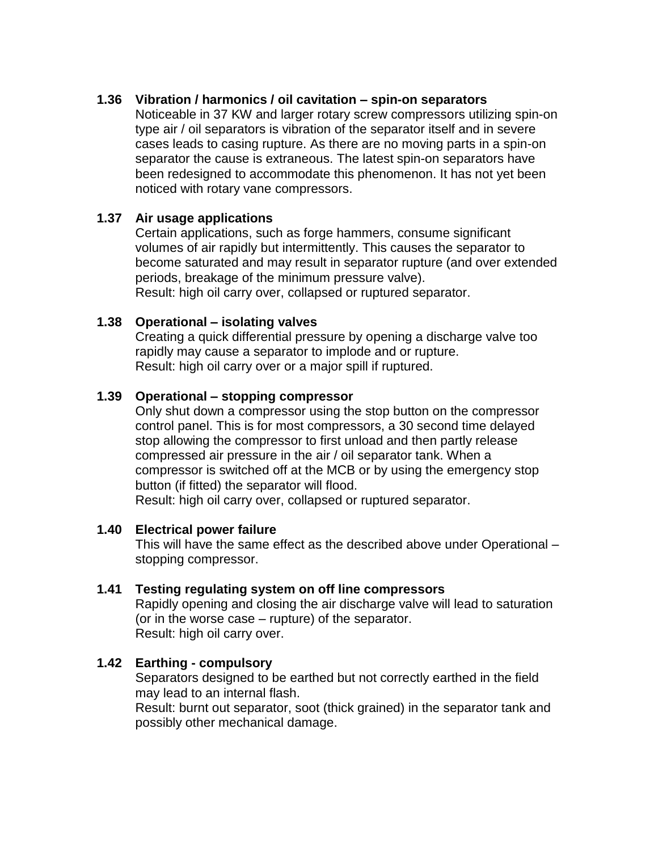#### **1.36 Vibration / harmonics / oil cavitation – spin-on separators**

Noticeable in 37 KW and larger rotary screw compressors utilizing spin-on type air / oil separators is vibration of the separator itself and in severe cases leads to casing rupture. As there are no moving parts in a spin-on separator the cause is extraneous. The latest spin-on separators have been redesigned to accommodate this phenomenon. It has not yet been noticed with rotary vane compressors.

#### **1.37 Air usage applications**

Certain applications, such as forge hammers, consume significant volumes of air rapidly but intermittently. This causes the separator to become saturated and may result in separator rupture (and over extended periods, breakage of the minimum pressure valve). Result: high oil carry over, collapsed or ruptured separator.

#### **1.38 Operational – isolating valves**

Creating a quick differential pressure by opening a discharge valve too rapidly may cause a separator to implode and or rupture. Result: high oil carry over or a major spill if ruptured.

#### **1.39 Operational – stopping compressor**

Only shut down a compressor using the stop button on the compressor control panel. This is for most compressors, a 30 second time delayed stop allowing the compressor to first unload and then partly release compressed air pressure in the air / oil separator tank. When a compressor is switched off at the MCB or by using the emergency stop button (if fitted) the separator will flood.

Result: high oil carry over, collapsed or ruptured separator.

#### **1.40 Electrical power failure**

This will have the same effect as the described above under Operational – stopping compressor.

#### **1.41 Testing regulating system on off line compressors**

Rapidly opening and closing the air discharge valve will lead to saturation (or in the worse case – rupture) of the separator. Result: high oil carry over.

#### **1.42 Earthing - compulsory**

Separators designed to be earthed but not correctly earthed in the field may lead to an internal flash.

Result: burnt out separator, soot (thick grained) in the separator tank and possibly other mechanical damage.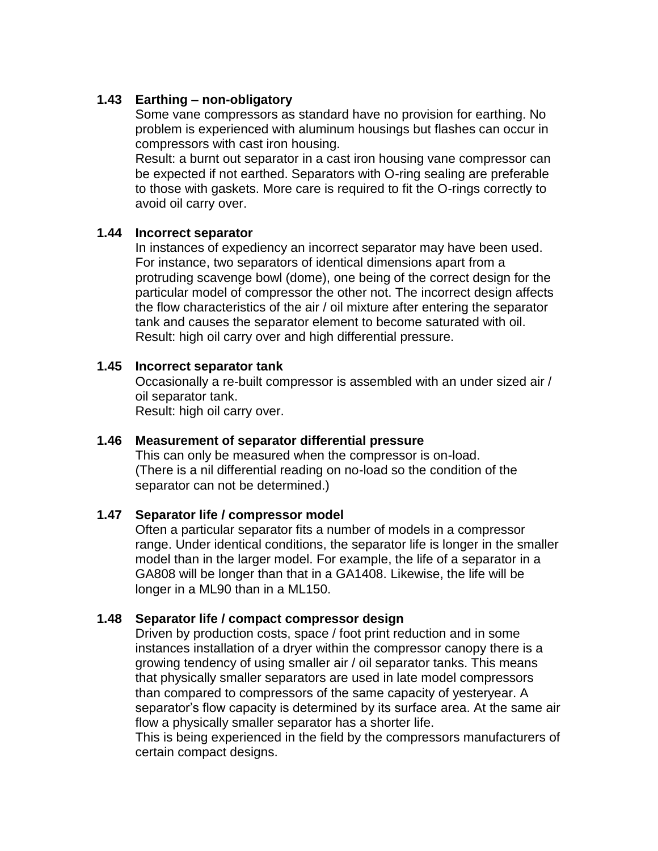#### **1.43 Earthing – non-obligatory**

Some vane compressors as standard have no provision for earthing. No problem is experienced with aluminum housings but flashes can occur in compressors with cast iron housing.

Result: a burnt out separator in a cast iron housing vane compressor can be expected if not earthed. Separators with O-ring sealing are preferable to those with gaskets. More care is required to fit the O-rings correctly to avoid oil carry over.

#### **1.44 Incorrect separator**

In instances of expediency an incorrect separator may have been used. For instance, two separators of identical dimensions apart from a protruding scavenge bowl (dome), one being of the correct design for the particular model of compressor the other not. The incorrect design affects the flow characteristics of the air / oil mixture after entering the separator tank and causes the separator element to become saturated with oil. Result: high oil carry over and high differential pressure.

#### **1.45 Incorrect separator tank**

Occasionally a re-built compressor is assembled with an under sized air / oil separator tank.

Result: high oil carry over.

#### **1.46 Measurement of separator differential pressure**

This can only be measured when the compressor is on-load. (There is a nil differential reading on no-load so the condition of the separator can not be determined.)

#### **1.47 Separator life / compressor model**

Often a particular separator fits a number of models in a compressor range. Under identical conditions, the separator life is longer in the smaller model than in the larger model. For example, the life of a separator in a GA808 will be longer than that in a GA1408. Likewise, the life will be longer in a ML90 than in a ML150.

#### **1.48 Separator life / compact compressor design**

Driven by production costs, space / foot print reduction and in some instances installation of a dryer within the compressor canopy there is a growing tendency of using smaller air / oil separator tanks. This means that physically smaller separators are used in late model compressors than compared to compressors of the same capacity of yesteryear. A separator's flow capacity is determined by its surface area. At the same air flow a physically smaller separator has a shorter life.

This is being experienced in the field by the compressors manufacturers of certain compact designs.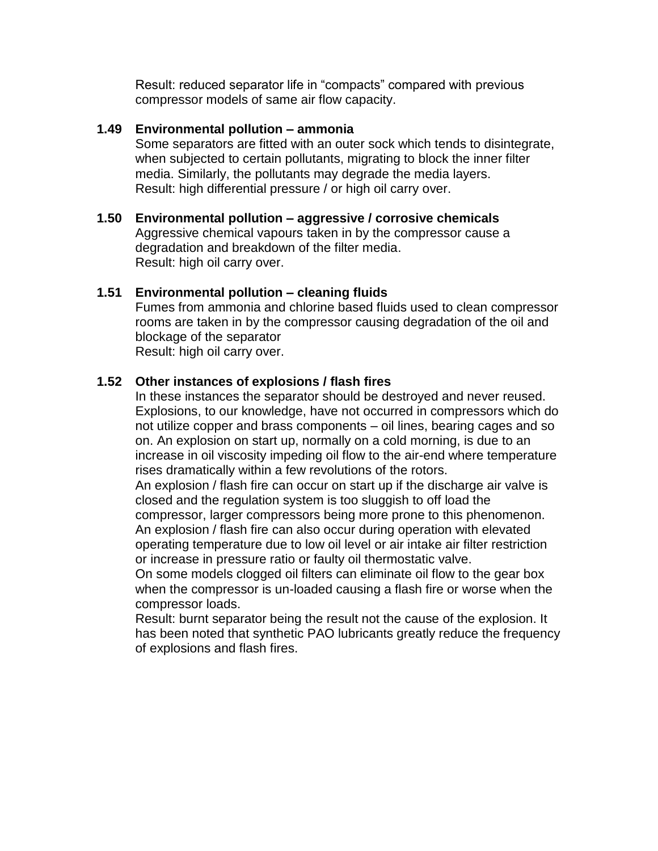Result: reduced separator life in "compacts" compared with previous compressor models of same air flow capacity.

#### **1.49 Environmental pollution – ammonia**

Some separators are fitted with an outer sock which tends to disintegrate, when subjected to certain pollutants, migrating to block the inner filter media. Similarly, the pollutants may degrade the media layers. Result: high differential pressure / or high oil carry over.

**1.50 Environmental pollution – aggressive / corrosive chemicals** Aggressive chemical vapours taken in by the compressor cause a degradation and breakdown of the filter media. Result: high oil carry over.

#### **1.51 Environmental pollution – cleaning fluids**

Fumes from ammonia and chlorine based fluids used to clean compressor rooms are taken in by the compressor causing degradation of the oil and blockage of the separator Result: high oil carry over.

#### **1.52 Other instances of explosions / flash fires**

In these instances the separator should be destroyed and never reused. Explosions, to our knowledge, have not occurred in compressors which do not utilize copper and brass components – oil lines, bearing cages and so on. An explosion on start up, normally on a cold morning, is due to an increase in oil viscosity impeding oil flow to the air-end where temperature rises dramatically within a few revolutions of the rotors.

An explosion / flash fire can occur on start up if the discharge air valve is closed and the regulation system is too sluggish to off load the

compressor, larger compressors being more prone to this phenomenon. An explosion / flash fire can also occur during operation with elevated operating temperature due to low oil level or air intake air filter restriction or increase in pressure ratio or faulty oil thermostatic valve.

On some models clogged oil filters can eliminate oil flow to the gear box when the compressor is un-loaded causing a flash fire or worse when the compressor loads.

Result: burnt separator being the result not the cause of the explosion. It has been noted that synthetic PAO lubricants greatly reduce the frequency of explosions and flash fires.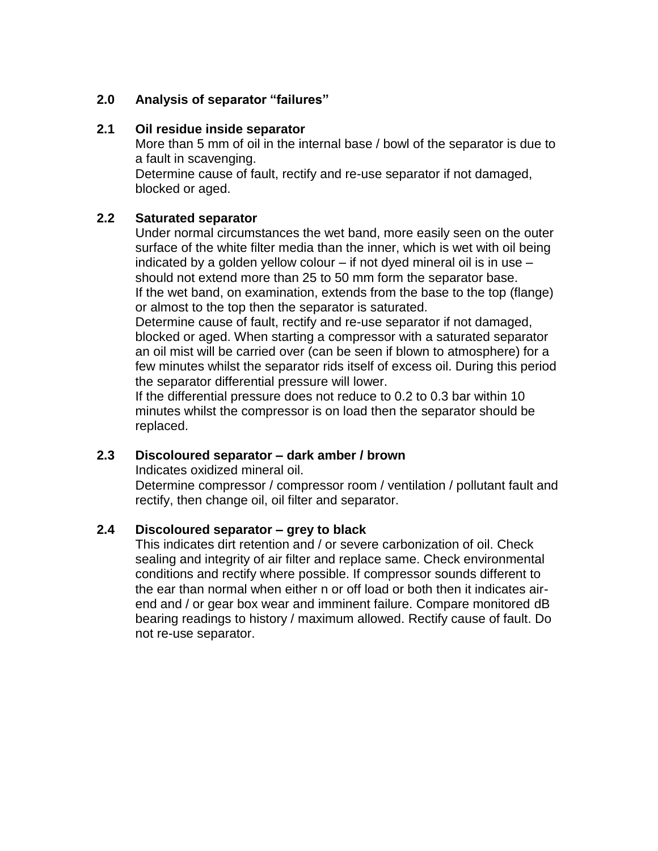# **2.0 Analysis of separator "failures"**

#### **2.1 Oil residue inside separator**

More than 5 mm of oil in the internal base / bowl of the separator is due to a fault in scavenging.

Determine cause of fault, rectify and re-use separator if not damaged, blocked or aged.

#### **2.2 Saturated separator**

Under normal circumstances the wet band, more easily seen on the outer surface of the white filter media than the inner, which is wet with oil being indicated by a golden yellow colour – if not dyed mineral oil is in use – should not extend more than 25 to 50 mm form the separator base. If the wet band, on examination, extends from the base to the top (flange) or almost to the top then the separator is saturated.

Determine cause of fault, rectify and re-use separator if not damaged, blocked or aged. When starting a compressor with a saturated separator an oil mist will be carried over (can be seen if blown to atmosphere) for a few minutes whilst the separator rids itself of excess oil. During this period the separator differential pressure will lower.

If the differential pressure does not reduce to 0.2 to 0.3 bar within 10 minutes whilst the compressor is on load then the separator should be replaced.

#### **2.3 Discoloured separator – dark amber / brown**

Indicates oxidized mineral oil.

Determine compressor / compressor room / ventilation / pollutant fault and rectify, then change oil, oil filter and separator.

#### **2.4 Discoloured separator – grey to black**

This indicates dirt retention and / or severe carbonization of oil. Check sealing and integrity of air filter and replace same. Check environmental conditions and rectify where possible. If compressor sounds different to the ear than normal when either n or off load or both then it indicates airend and / or gear box wear and imminent failure. Compare monitored dB bearing readings to history / maximum allowed. Rectify cause of fault. Do not re-use separator.